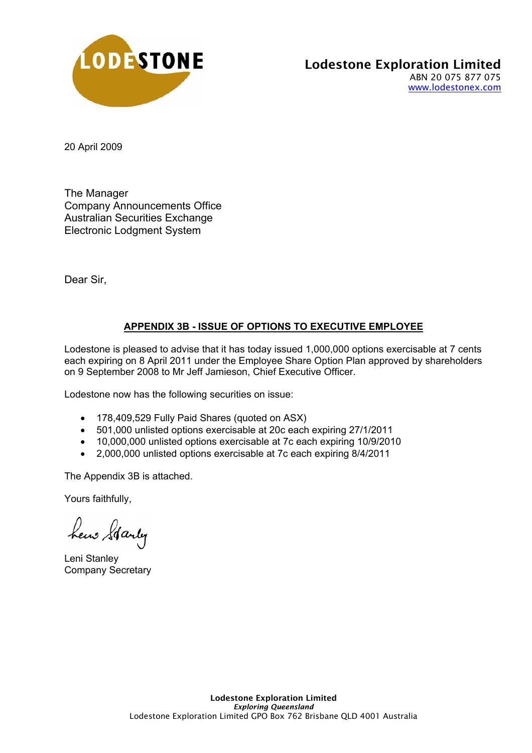

20 April 2009

The Manager Company Announcements Office Australian Securities Exchange Electronic Lodgment System

Dear Sir,

## **APPENDIX 3B - ISSUE OF OPTIONS TO EXECUTIVE EMPLOYEE**

Lodestone is pleased to advise that it has today issued 1,000,000 options exercisable at 7 cents each expiring on 8 April 2011 under the Employee Share Option Plan approved by shareholders on 9 September 2008 to Mr Jeff Jamieson, Chief Executive Officer.

Lodestone now has the following securities on issue:

- 178,409,529 Fully Paid Shares (quoted on ASX)
- 501,000 unlisted options exercisable at 20c each expiring 27/1/2011
- 10,000,000 unlisted options exercisable at 7c each expiring 10/9/2010
- 2,000,000 unlisted options exercisable at 7c each expiring 8/4/2011

The Appendix 3B is attached.

Yours faithfully,

hew Starty

Leni Stanley Company Secretary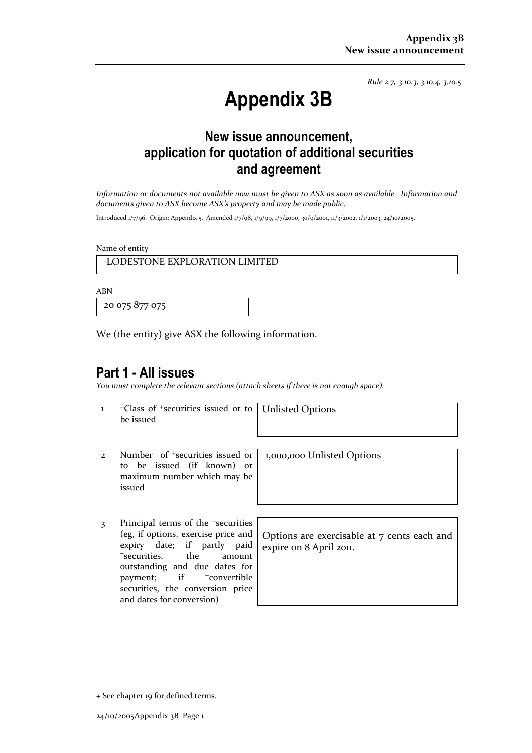*Rule 2.7, 3.10.3, 3.10.4, 3.10.5*

# **Appendix 3B**

# **New issue announcement, application for quotation of additional securities and agreement**

*Information or documents not available now must be given to ASX as soon as available. Information and documents given to ASX become ASX's property and may be made public.* 

Introduced 1/7/96. Origin: Appendix 5. Amended 1/7/98, 1/9/99, 1/7/2000, 30/9/2001, 11/3/2002, 1/1/2003, 24/10/2005.

Name of entity

LODESTONE EXPLORATION LIMITED

ABN

20 075 877 075

We (the entity) give ASX the following information.

## **Part 1 - All issues**

*You must complete the relevant sections (attach sheets if there is not enough space).*

1 +Class of +securities issued or to be issued

Unlisted Options

- 2 Number of +securities issued or to be issued (if known) or maximum number which may be issued
- 3 Principal terms of the +securities (eg, if options, exercise price and expiry date; if partly paid <sup>+</sup>securities, the amount outstanding and due dates for payment; if <sup>+</sup>convertible securities, the conversion price and dates for conversion)

1,000,000 Unlisted Options

Options are exercisable at 7 cents each and expire on 8 April 2011.

<sup>+</sup> See chapter 19 for defined terms.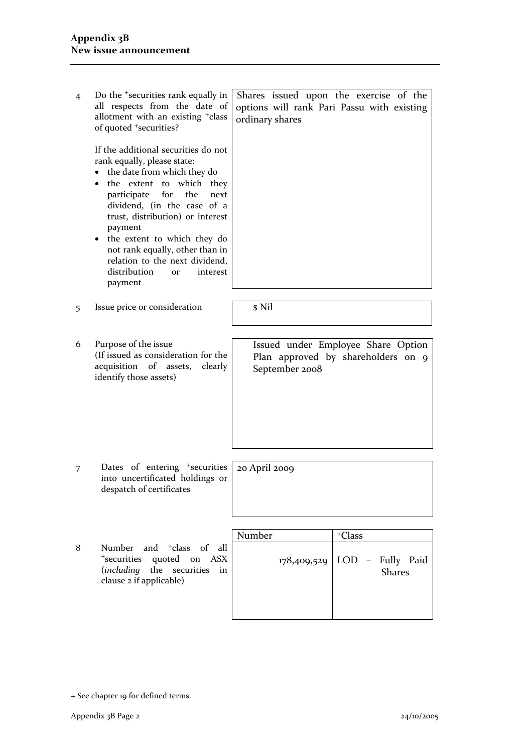| 4 | Do the <sup>+</sup> securities rank equally in<br>all respects from the date of<br>allotment with an existing <sup>+</sup> class<br>of quoted <sup>+</sup> securities?<br>If the additional securities do not<br>rank equally, please state:<br>the date from which they do<br>the extent to which they<br>participate for the<br>next<br>dividend, (in the case of a<br>trust, distribution) or interest | Shares issued upon the exercise of the<br>options will rank Pari Passu with existing<br>ordinary shares |                                                                          |
|---|-----------------------------------------------------------------------------------------------------------------------------------------------------------------------------------------------------------------------------------------------------------------------------------------------------------------------------------------------------------------------------------------------------------|---------------------------------------------------------------------------------------------------------|--------------------------------------------------------------------------|
|   | payment<br>the extent to which they do<br>not rank equally, other than in<br>relation to the next dividend,<br>distribution<br>interest<br><b>or</b><br>payment                                                                                                                                                                                                                                           |                                                                                                         |                                                                          |
|   | Issue price or consideration                                                                                                                                                                                                                                                                                                                                                                              | \$ Nil                                                                                                  |                                                                          |
| 5 |                                                                                                                                                                                                                                                                                                                                                                                                           |                                                                                                         |                                                                          |
|   |                                                                                                                                                                                                                                                                                                                                                                                                           |                                                                                                         |                                                                          |
| 6 | Purpose of the issue<br>(If issued as consideration for the<br>acquisition of assets,<br>clearly<br>identify those assets)                                                                                                                                                                                                                                                                                | September 2008                                                                                          | Issued under Employee Share Option<br>Plan approved by shareholders on 9 |
|   |                                                                                                                                                                                                                                                                                                                                                                                                           |                                                                                                         |                                                                          |
| 7 | Dates of entering <sup>+</sup> securities<br>into uncertificated holdings or<br>despatch of certificates                                                                                                                                                                                                                                                                                                  | 20 April 2009                                                                                           |                                                                          |
|   |                                                                                                                                                                                                                                                                                                                                                                                                           |                                                                                                         |                                                                          |
| 8 | Number and <sup>+</sup> class of all                                                                                                                                                                                                                                                                                                                                                                      | Number                                                                                                  | <sup>+</sup> Class                                                       |
|   |                                                                                                                                                                                                                                                                                                                                                                                                           |                                                                                                         |                                                                          |

8 Number and <sup>+</sup>class of all <sup>+</sup>securities quoted on ASX (*including* the securities in clause 2 if applicable)

| Number | <sup>+</sup> Class                    |
|--------|---------------------------------------|
|        | $178,409,529$ LOD - Fully Paid Shares |
|        |                                       |

<sup>+</sup> See chapter 19 for defined terms.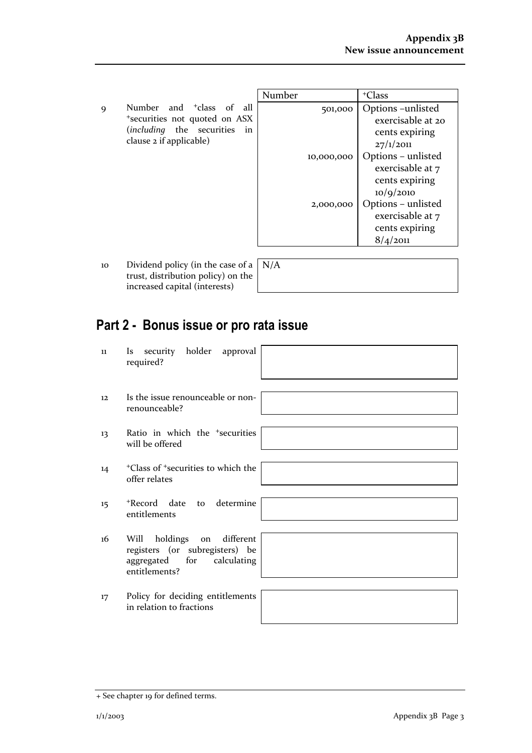|   |                                      | Number     | <sup>+</sup> Class |
|---|--------------------------------------|------------|--------------------|
| Q | Number and <sup>+</sup> class of all | 501,000    | <b>Option</b>      |
|   | *securities not quoted on ASX        |            | exer               |
|   | (including the securities in         |            | cen                |
|   | clause 2 if applicable)              |            | 27/1               |
|   |                                      | 10,000,000 | Option             |

| Number |            | <sup>+</sup> Class |
|--------|------------|--------------------|
|        | 501,000    | Options – unlisted |
|        |            | exercisable at 20  |
|        |            | cents expiring     |
|        |            | 27/1/2011          |
|        | 10,000,000 | Options – unlisted |
|        |            | exercisable at 7   |
|        |            | cents expiring     |
|        |            | 10/9/2010          |
|        | 2,000,000  | Options – unlisted |
|        |            | exercisable at 7   |
|        |            | cents expiring     |
|        |            | 8/4/2011           |

10 Dividend policy (in the case of trust, distribution policy) on the increased capital (interests)

|    | $a$ N/A |
|----|---------|
| ιe |         |
|    |         |

# **Part 2 - Bonus issue or pro rata issue**

| 11 | security holder approval<br><i>Is</i><br>required?                                                             |
|----|----------------------------------------------------------------------------------------------------------------|
| 12 | Is the issue renounceable or non-<br>renounceable?                                                             |
| 13 | Ratio in which the <sup>+</sup> securities<br>will be offered                                                  |
| 14 | <sup>+</sup> Class of <sup>+</sup> securities to which the<br>offer relates                                    |
| 15 | *Record date to determine<br>entitlements                                                                      |
| 16 | holdings on different<br>Will<br>registers (or subregisters) be<br>aggregated for calculating<br>entitlements? |
| 17 | Policy for deciding entitlements<br>in relation to fractions                                                   |

<sup>+</sup> See chapter 19 for defined terms.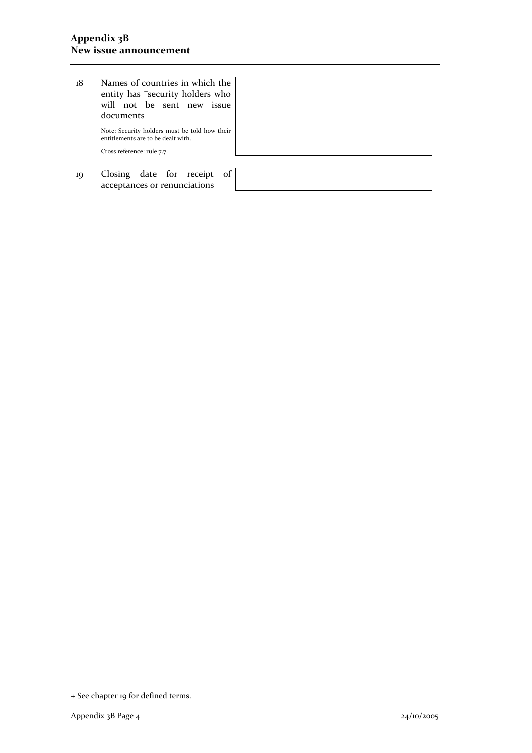18 Names of countries in which the entity has <sup>+</sup>security holders who will not be sent new issue documents

> Note: Security holders must be told how their entitlements are to be dealt with.

Cross reference: rule 7.7.

19 Closing date for receipt of acceptances or renunciations

<sup>+</sup> See chapter 19 for defined terms.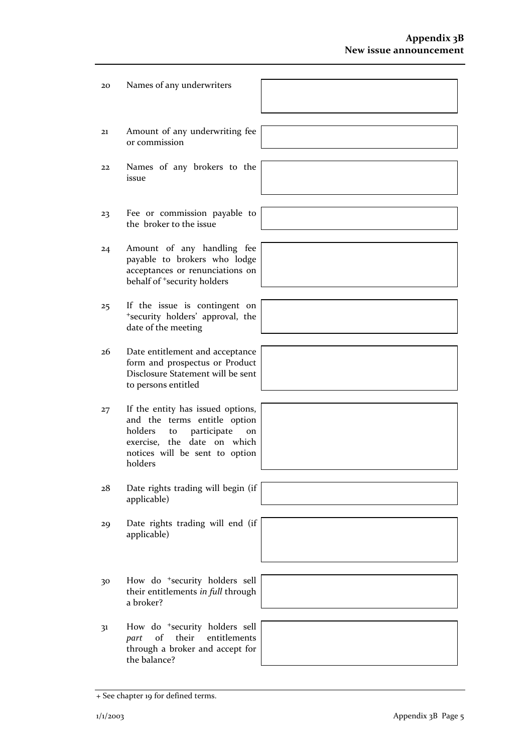| 20 | Names of any underwriters                                                                                                                                                                      |
|----|------------------------------------------------------------------------------------------------------------------------------------------------------------------------------------------------|
| 21 | Amount of any underwriting fee<br>or commission                                                                                                                                                |
| 22 | Names of any brokers to the<br>issue                                                                                                                                                           |
| 23 | Fee or commission payable to<br>the broker to the issue                                                                                                                                        |
| 24 | Amount of any handling fee<br>payable to brokers who lodge<br>acceptances or renunciations on<br>behalf of <sup>+</sup> security holders                                                       |
| 25 | If the issue is contingent on<br>*security holders' approval, the<br>date of the meeting                                                                                                       |
| 26 | Date entitlement and acceptance<br>form and prospectus or Product<br>Disclosure Statement will be sent<br>to persons entitled                                                                  |
| 27 | If the entity has issued options,<br>and the terms entitle option<br>holders<br>participate<br>to<br><sub>on</sub><br>exercise, the date on which<br>notices will be sent to option<br>holders |
| 28 | Date rights trading will begin (if<br>applicable)                                                                                                                                              |
| 29 | Date rights trading will end (if<br>applicable)                                                                                                                                                |
| 30 | How do <sup>+</sup> security holders sell<br>their entitlements in full through<br>a broker?                                                                                                   |
| 31 | How do <sup>+</sup> security holders sell<br>of<br>their<br>entitlements<br>part<br>through a broker and accept for<br>the balance?                                                            |

<sup>+</sup> See chapter 19 for defined terms.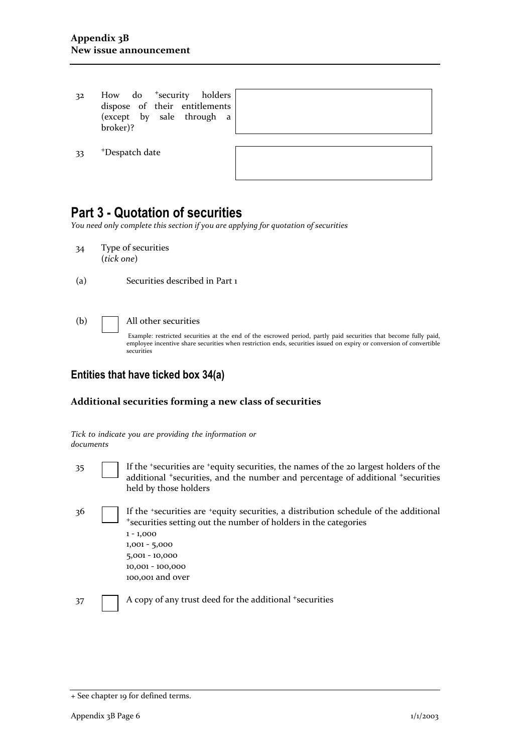32 How do +security holders dispose of their entitlements (except by sale through a broker)?

33 +Despatch date

# **Part 3 - Quotation of securities**

*You need only complete this section if you are applying for quotation of securities* 

- 34 Type of securities (*tick one*)
- (a) Securities described in Part 1

#### (b) All other securities

Example: restricted securities at the end of the escrowed period, partly paid securities that become fully paid, employee incentive share securities when restriction ends, securities issued on expiry or conversion of convertible securities

### **Entities that have ticked box 34(a)**

#### **Additional securities forming a new class of securities**

| documents | Tick to indicate you are providing the information or                                                                                                                                                                                                 |
|-----------|-------------------------------------------------------------------------------------------------------------------------------------------------------------------------------------------------------------------------------------------------------|
| 35        | If the 'securities are 'equity securities, the names of the 20 largest holders of the<br>additional <sup>+</sup> securities, and the number and percentage of additional <sup>+</sup> securities<br>held by those holders                             |
| 36        | If the *securities are *equity securities, a distribution schedule of the additional<br>*securities setting out the number of holders in the categories<br>$1 - 1,000$<br>$1,001 - 5,000$<br>$5,001 - 10,000$<br>10,001 - 100,000<br>100,001 and over |
| 37        | A copy of any trust deed for the additional +securities                                                                                                                                                                                               |

<sup>+</sup> See chapter 19 for defined terms.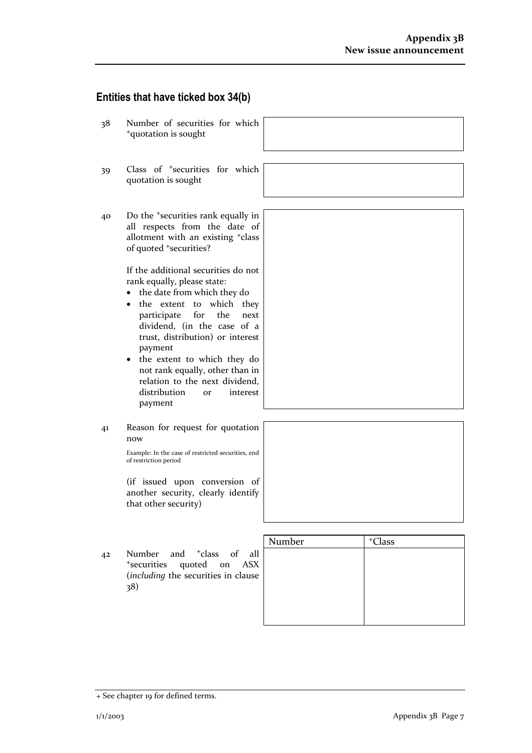## **Entities that have ticked box 34(b)**

38 Number of securities for which <sup>+</sup>quotation is sought 39 Class of +securities for which quotation is sought 40 Do the +securities rank equally in all respects from the date of allotment with an existing +class of quoted <sup>+</sup>securities? If the additional securities do not rank equally, please state: • the date from which they do • the extent to which they participate for the next dividend, (in the case of a trust, distribution) or interest payment • the extent to which they do not rank equally, other than in relation to the next dividend, distribution or interest payment 41 Reason for request for quotation now Example: In the case of restricted securities, end of restriction period (if issued upon conversion of another security, clearly identify that other security) Number | +Class 42 Number and <sup>+</sup>class of all <sup>+</sup>securities quoted on ASX (*including* the securities in clause 38)

<sup>+</sup> See chapter 19 for defined terms.